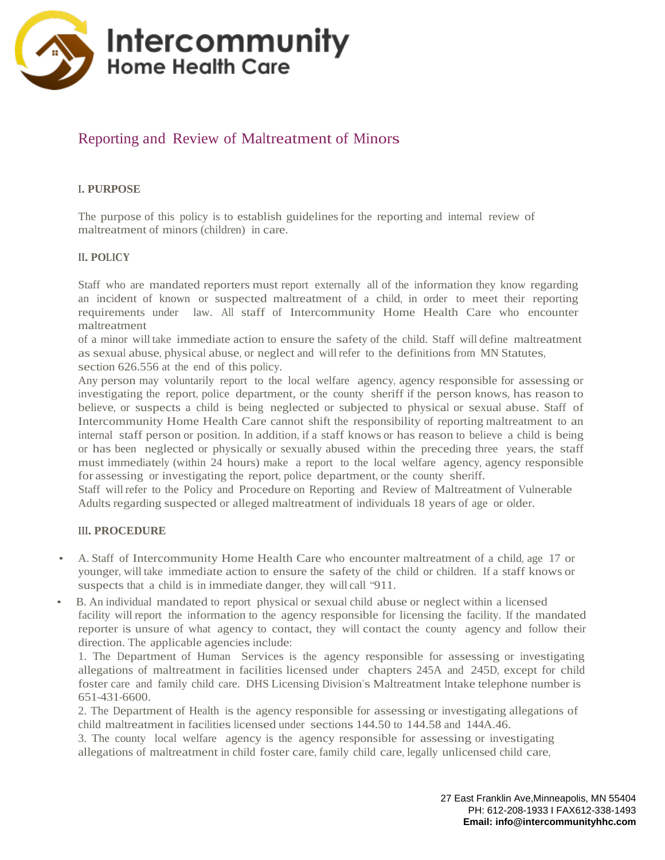

# Reporting and Review of Maltreatment of Minors

# **I. PURPOSE**

The purpose of this policy is to establish guidelinesfor the reporting and internal review of maltreatment of minors (children) in care.

#### **II. POLICY**

Staff who are mandated reporters must report externally all of the information they know regarding an incident of known or suspected maltreatment of a child, in order to meet their reporting requirements under law. All staff of Intercommunity Home Health Care who encounter maltreatment

of a minor will take immediate action to ensure the safety of the child. Staff will define maltreatment as sexual abuse, physical abuse, or neglect and willrefer to the definitionsfrom MN Statutes, section 626.556 at the end of this policy.

Any person may voluntarily report to the local welfare agency, agency responsible for assessing or investigating the report, police department, or the county sheriff if the person knows, has reason to believe, or suspects a child is being neglected or subjected to physical or sexual abuse. Staff of Intercommunity Home Health Care cannot shift the responsibility of reporting maltreatment to an internal staff person or position. In addition, if a staff knows or has reason to believe a child is being or has been neglected or physically or sexually abused within the preceding three years, the staff must immediately (within 24 hours) make a report to the local welfare agency, agency responsible for assessing or investigating the report, police department, or the county sheriff.

Staff will refer to the Policy and Procedure on Reporting and Review of Maltreatment of Vulnerable Adults regarding suspected or alleged maltreatment of individuals 18 years of age or older.

#### **III. PROCEDURE**

- A. Staff of Intercommunity Home Health Care who encounter maltreatment of a child, age 17 or younger, will take immediate action to ensure the safety of the child or children. If a staff knows or suspects that a child is in immediate danger, they will call "911.
- B. An individual mandated to report physical or sexual child abuse or neglect within a licensed facility will report the information to the agency responsible for licensing the facility. If the mandated reporter is unsure of what agency to contact, they will contact the county agency and follow their direction. The applicable agencies include:

1. The Department of Human Services is the agency responsible for assessing or investigating allegations of maltreatment in facilities licensed under chapters 245A and 245D, except for child foster care and family child care. DHS Licensing Division's Maltreatment Intake telephone number is 651-431-6600.

2. The Department of Health is the agency responsible for assessing or investigating allegations of child maltreatment in facilities licensed under sections 144.50 to 144.58 and 144A.46.

3. The county local welfare agency is the agency responsible for assessing or investigating allegations of maltreatment in child foster care, family child care, legally unlicensed child care,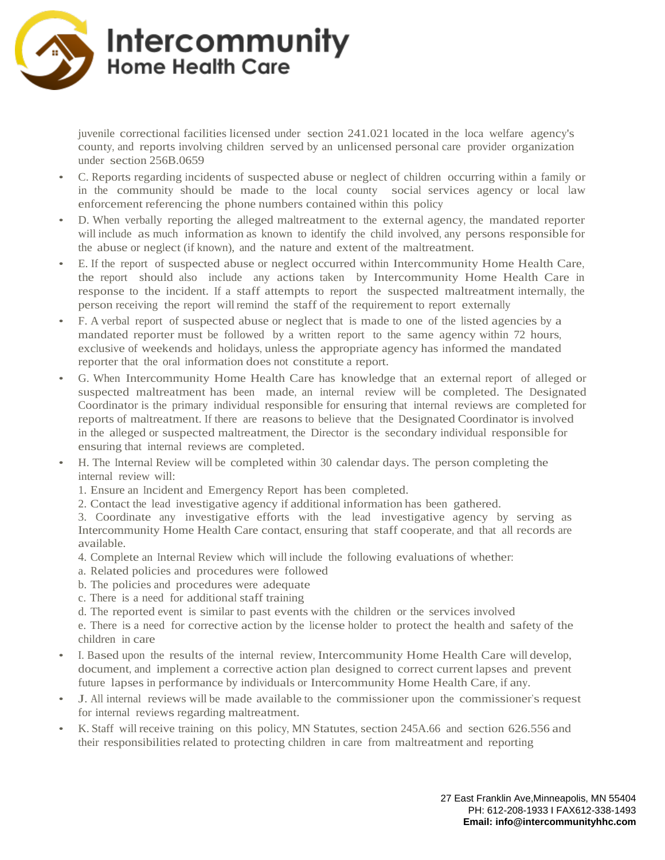

juvenile correctional facilities licensed under section 241.021 located in the loca welfare agency's county, and reports involving children served by an unlicensed personal care provider organization under section 256B.0659

- C. Reports regarding incidents of suspected abuse or neglect of children occurring within a family or in the community should be made to the local county social services agency or local law enforcement referencing the phone numbers contained within this policy
- D. When verbally reporting the alleged maltreatment to the external agency, the mandated reporter will include as much information as known to identify the child involved, any persons responsible for the abuse or neglect (if known), and the nature and extent of the maltreatment.
- E. If the report of suspected abuse or neglect occurred within Intercommunity Home Health Care, the report should also include any actions taken by Intercommunity Home Health Care in response to the incident. If a staff attempts to report the suspected maltreatment internally, the person receiving the report willremind the staff of the requirement to report externally
- F. A verbal report of suspected abuse or neglect that is made to one of the listed agencies by a mandated reporter must be followed by a written report to the same agency within 72 hours, exclusive of weekends and holidays, unless the appropriate agency has informed the mandated reporter that the oral information does not constitute a report.
- G. When Intercommunity Home Health Care has knowledge that an external report of alleged or suspected maltreatment has been made, an internal review will be completed. The Designated Coordinator is the primary individual responsible for ensuring that internal reviews are completed for reports of maltreatment. If there are reasons to believe that the Designated Coordinator isinvolved in the alleged or suspected maltreatment, the Director is the secondary individual responsible for ensuring that internal reviews are completed.
- H. The Internal Review will be completed within 30 calendar days. The person completing the internal review will:
	- 1. Ensure an Incident and Emergency Report has been completed.
	- 2. Contact the lead investigative agency if additional information has been gathered.

3. Coordinate any investigative efforts with the lead investigative agency by serving as Intercommunity Home Health Care contact, ensuring that staff cooperate, and that all records are available.

- 4. Complete an Internal Review which will include the following evaluations of whether:
- a. Related policies and procedures were followed
- b. The policies and procedures were adequate
- c. There is a need for additional staff training
- d. The reported event is similar to past events with the children or the services involved

e. There is a need for corrective action by the license holder to protect the health and safety of the children in care

- I. Based upon the results of the internal review, Intercommunity Home Health Care will develop, document, and implement a corrective action plan designed to correct current lapses and prevent future lapses in performance by individuals or Intercommunity Home Health Care, if any.
- J. All internal reviews will be made available to the commissioner upon the commissioner's request for internal reviews regarding maltreatment.
- K. Staff will receive training on this policy, MN Statutes, section 245A.66 and section 626.556 and their responsibilitiesrelated to protecting children in care from maltreatment and reporting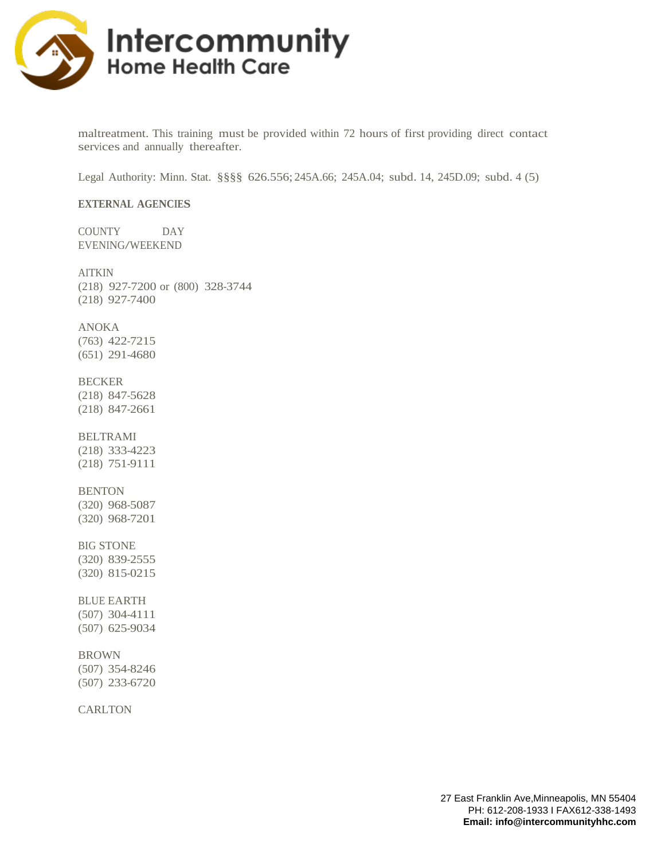

maltreatment. This training must be provided within 72 hours of first providing direct contact services and annually thereafter.

Legal Authority: Minn. Stat. §§§§ 626.556; 245A.66; 245A.04; subd. 14, 245D.09; subd. 4 (5)

#### **EXTERNAL AGENCIES**

COUNTY DAY EVENING/WEEKEND

# AITKIN

(218) 927-7200 or (800) 328-3744 (218) 927-7400

#### ANOKA

(763) 422-7215 (651) 291-4680

#### BECKER

(218) 847-5628 (218) 847-2661

# BELTRAMI

(218) 333-4223 (218) 751-9111

#### **BENTON**

(320) 968-5087 (320) 968-7201

#### BIG STONE

(320) 839-2555 (320) 815-0215

# BLUE EARTH

(507) 304-4111 (507) 625-9034

#### BROWN

(507) 354-8246 (507) 233-6720

**CARLTON**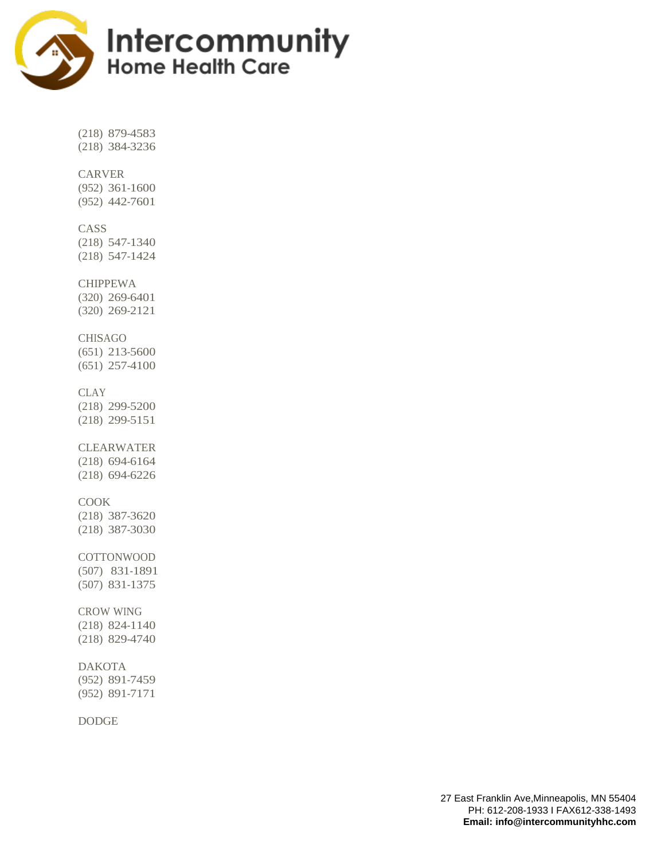

(218) 879-4583 (218) 384-3236

# CARVER

(952) 361-1600 (952) 442-7601

# CASS

(218) 547-1340 (218) 547-1424

#### CHIPPEWA

(320) 269-6401 (320) 269-2121

# CHISAGO

(651) 213-5600 (651) 257-4100

# **CLAY**

(218) 299-5200 (218) 299-5151

# CLEARWATER (218) 694-6164

(218) 694-6226

# COOK

(218) 387-3620 (218) 387-3030

#### COTTONWOOD (507) 831-1891

(507) 831-1375

# CROW WING

(218) 824-1140 (218) 829-4740

# DAKOTA

(952) 891-7459 (952) 891-7171

# DODGE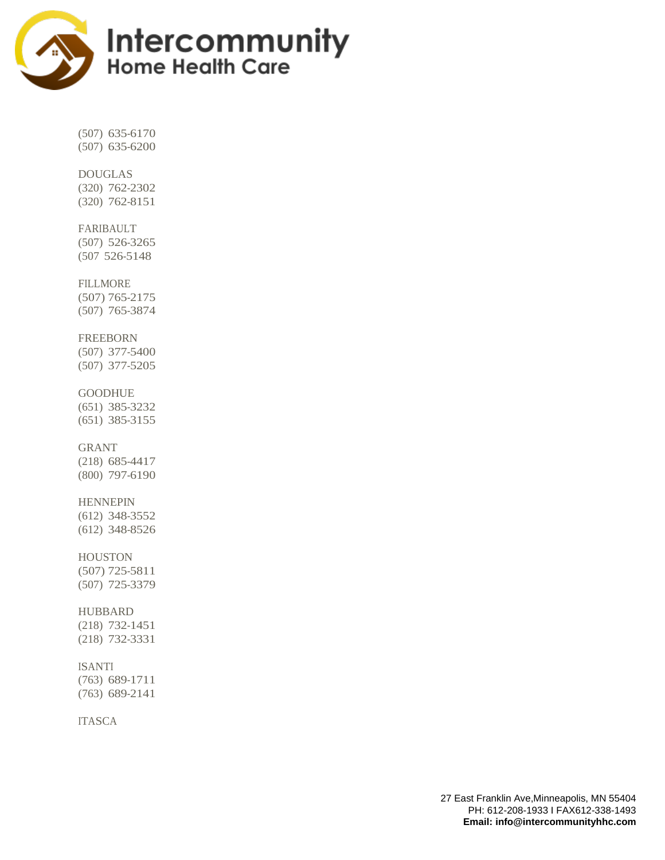

(507) 635-6170 (507) 635-6200

# DOUGLAS

(320) 762-2302 (320) 762-8151

# FARIBAULT

(507) 526-3265 (507 526-5148

# FILLMORE

(507) 765-2175 (507) 765-3874

#### FREEBORN

(507) 377-5400 (507) 377-5205

#### **GOODHUE**

(651) 385-3232 (651) 385-3155

# GRANT

(218) 685-4417 (800) 797-6190

# HENNEPIN

(612) 348-3552 (612) 348-8526

# HOUSTON

(507) 725-5811 (507) 725-3379

# HUBBARD

(218) 732-1451 (218) 732-3331

# ISANTI

(763) 689-1711 (763) 689-2141

# ITASCA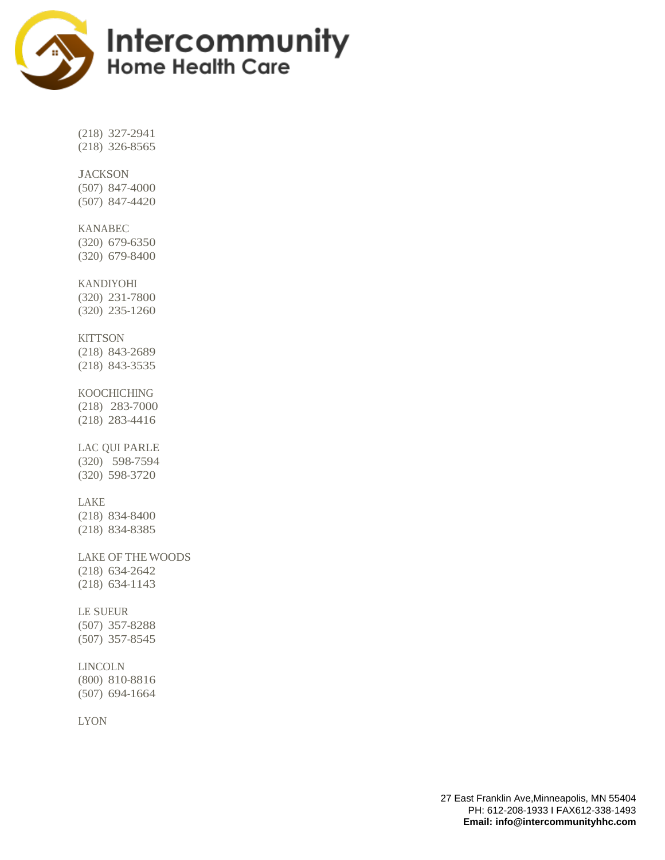

(218) 327-2941 (218) 326-8565

# **JACKSON**

(507) 847-4000 (507) 847-4420

# KANABEC

(320) 679-6350 (320) 679-8400

# KANDIYOHI

(320) 231-7800 (320) 235-1260

#### **KITTSON**

(218) 843-2689 (218) 843-3535

# KOOCHICHING

(218) 283-7000 (218) 283-4416

# LAC QUI PARLE (320) 598-7594

(320) 598-3720

# LAKE

(218) 834-8400 (218) 834-8385

# LAKE OF THE WOODS (218) 634-2642

(218) 634-1143

# LE SUEUR

(507) 357-8288 (507) 357-8545

# LINCOLN

(800) 810-8816 (507) 694-1664

# LYON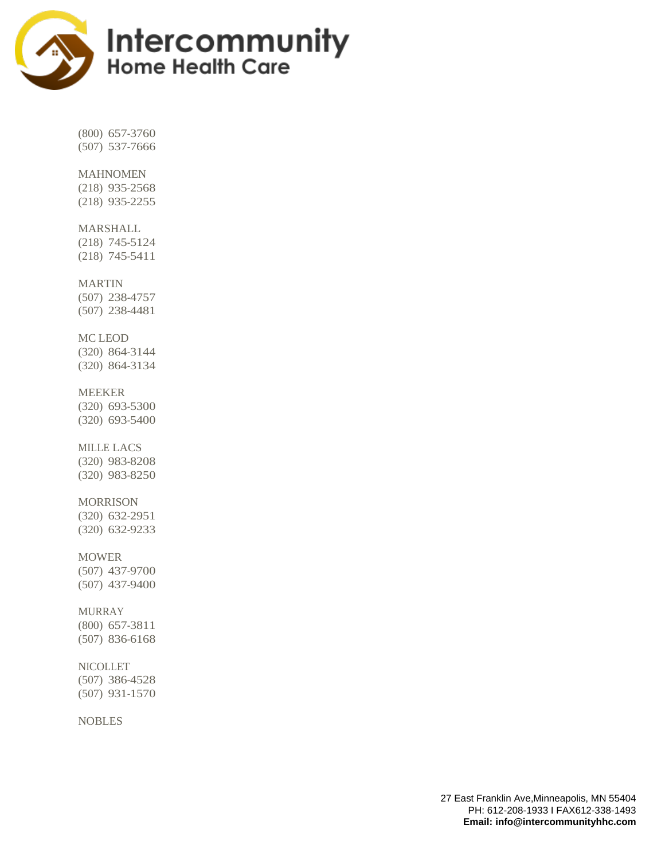

(800) 657-3760 (507) 537-7666

# MAHNOMEN

(218) 935-2568 (218) 935-2255

#### MARSHALL

(218) 745-5124 (218) 745-5411

#### MARTIN

(507) 238-4757 (507) 238-4481

# MC LEOD

(320) 864-3144 (320) 864-3134

#### MEEKER

(320) 693-5300 (320) 693-5400

# MILLE LACS

(320) 983-8208 (320) 983-8250

# MORRISON

(320) 632-2951 (320) 632-9233

# **MOWER**

(507) 437-9700 (507) 437-9400

# MURRAY

(800) 657-3811 (507) 836-6168

# NICOLLET

(507) 386-4528 (507) 931-1570

# NOBLES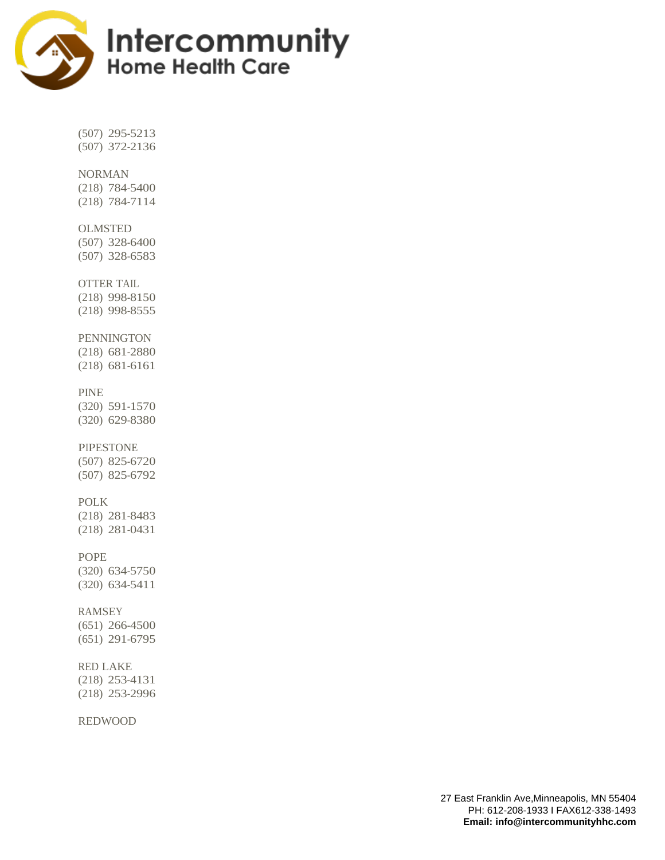

(507) 295-5213 (507) 372-2136

# NORMAN

(218) 784-5400 (218) 784-7114

#### OLMSTED

(507) 328-6400 (507) 328-6583

#### OTTER TAIL

(218) 998-8150 (218) 998-8555

#### **PENNINGTON**

(218) 681-2880 (218) 681-6161

#### PINE

(320) 591-1570 (320) 629-8380

#### PIPESTONE

(507) 825-6720 (507) 825-6792

# POLK

(218) 281-8483 (218) 281-0431

#### POPE

(320) 634-5750 (320) 634-5411

# RAMSEY

(651) 266-4500 (651) 291-6795

#### RED LAKE

(218) 253-4131 (218) 253-2996

REDWOOD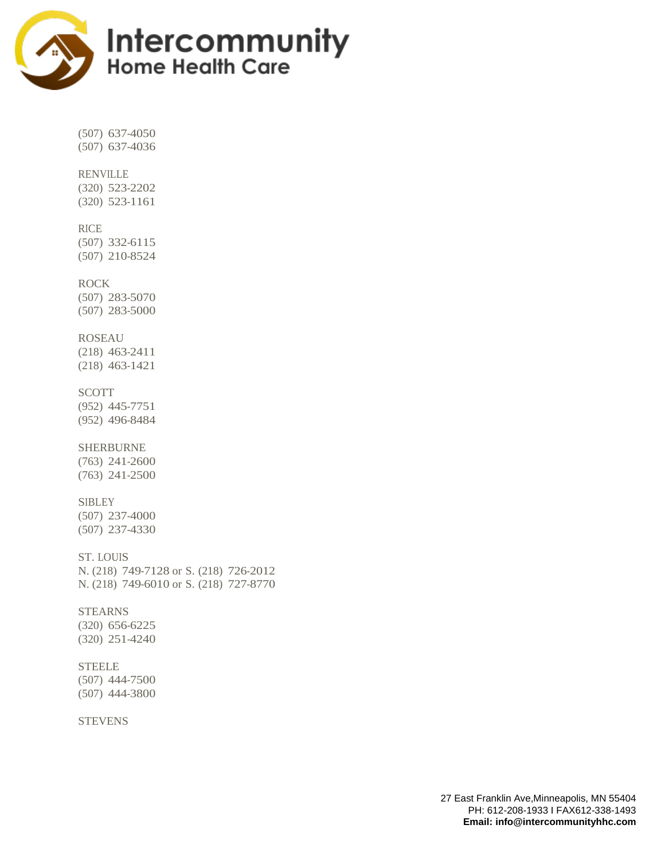

(507) 637-4050 (507) 637-4036

# RENVILLE

(320) 523-2202 (320) 523-1161

# RICE

(507) 332-6115 (507) 210-8524

# ROCK

(507) 283-5070 (507) 283-5000

#### ROSEAU

(218) 463-2411 (218) 463-1421

#### SCOTT

(952) 445-7751 (952) 496-8484

# SHERBURNE

(763) 241-2600 (763) 241-2500

# **SIBLEY**

(507) 237-4000 (507) 237-4330

# ST. LOUIS

N. (218) 749-7128 or S. (218) 726-2012 N. (218) 749-6010 or S. (218) 727-8770

# **STEARNS**

(320) 656-6225 (320) 251-4240

#### **STEELE**

(507) 444-7500 (507) 444-3800

#### **STEVENS**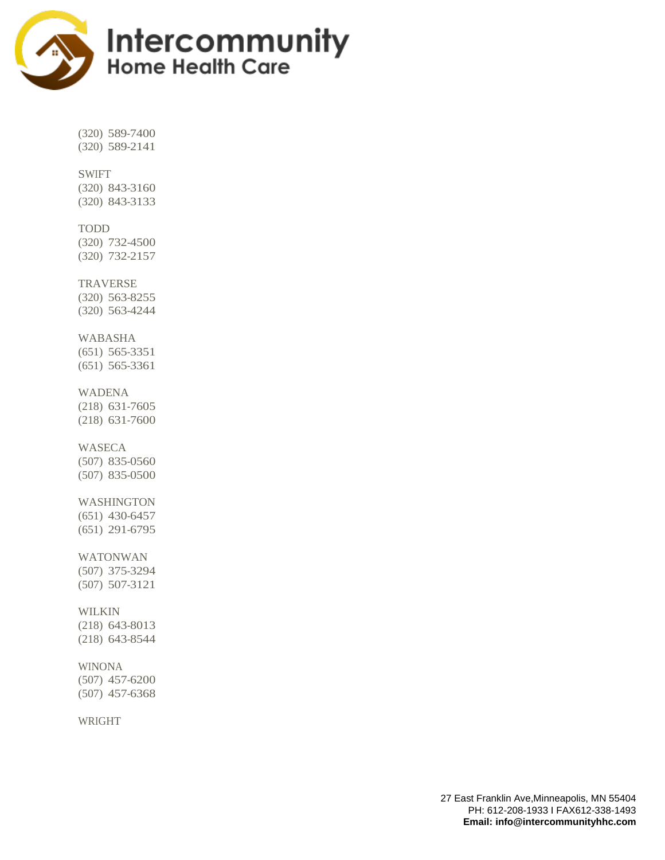

(320) 589-7400 (320) 589-2141

# SWIFT

(320) 843-3160 (320) 843-3133

#### TODD

(320) 732-4500 (320) 732-2157

#### TRAVERSE

(320) 563-8255 (320) 563-4244

#### WABASHA

(651) 565-3351 (651) 565-3361

#### WADENA

(218) 631-7605 (218) 631-7600

#### WASECA

(507) 835-0560 (507) 835-0500

# WASHINGTON

(651) 430-6457 (651) 291-6795

# WATONWAN

(507) 375-3294 (507) 507-3121

# WILKIN

(218) 643-8013 (218) 643-8544

# WINONA

(507) 457-6200 (507) 457-6368

# WRIGHT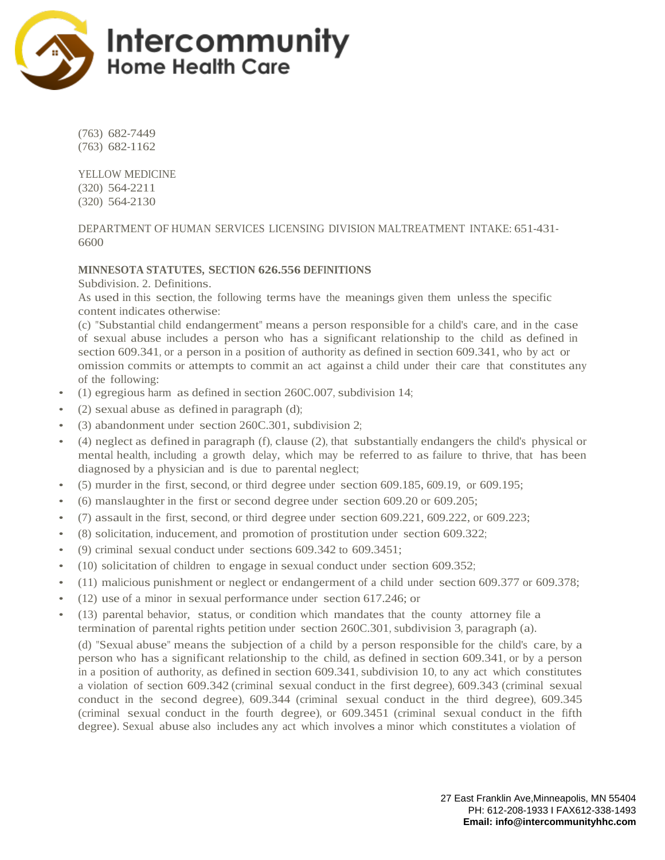

(763) 682-7449 (763) 682-1162

YELLOW MEDICINE (320) 564-2211 (320) 564-2130

DEPARTMENT OF HUMAN SERVICES LICENSING DIVISION MALTREATMENT INTAKE: 651-431- 6600

# **MINNESOTA STATUTES, SECTION 626.556 DEFINITIONS**

Subdivision. 2. Definitions.

As used in this section, the following terms have the meanings given them unless the specific content indicates otherwise:

(c) "Substantial child endangerment" means a person responsible for a child's care, and in the case of sexual abuse includes a person who has a significant relationship to the child as defined in section 609.341, or a person in a position of authority as defined in section 609.341, who by act or omission commits or attempts to commit an act against a child under their care that constitutes any of the following:

- (1) egregious harm as defined in section 260C.007, subdivision 14;
- $(2)$  sexual abuse as defined in paragraph  $(d)$ ;
- (3) abandonment under section 260C.301, subdivision 2;
- (4) neglect as defined in paragraph (f), clause (2), that substantially endangers the child's physical or mental health, including a growth delay, which may be referred to as failure to thrive, that has been diagnosed by a physician and is due to parental neglect;
- $(5)$  murder in the first, second, or third degree under section 609.185, 609.19, or 609.195;
- (6) manslaughter in the first or second degree under section 609.20 or 609.205;
- $(7)$  assault in the first, second, or third degree under section 609.221, 609.222, or 609.223;
- (8) solicitation, inducement, and promotion of prostitution under section 609.322;
- (9) criminal sexual conduct under sections 609.342 to 609.3451;
- (10) solicitation of children to engage in sexual conduct under section 609.352;
- (11) malicious punishment or neglect or endangerment of a child under section 609.377 or 609.378;
- (12) use of a minor in sexual performance under section 617.246; or
- (13) parental behavior, status, or condition which mandates that the county attorney file a termination of parental rights petition under section 260C.301, subdivision 3, paragraph (a).

(d) "Sexual abuse" means the subjection of a child by a person responsible for the child's care, by a person who has a significant relationship to the child, as defined in section 609.341, or by a person in a position of authority, as defined in section 609.341, subdivision 10, to any act which constitutes a violation of section 609.342 (criminal sexual conduct in the first degree), 609.343 (criminal sexual conduct in the second degree), 609.344 (criminal sexual conduct in the third degree), 609.345 (criminal sexual conduct in the fourth degree), or 609.3451 (criminal sexual conduct in the fifth degree). Sexual abuse also includes any act which involves a minor which constitutes a violation of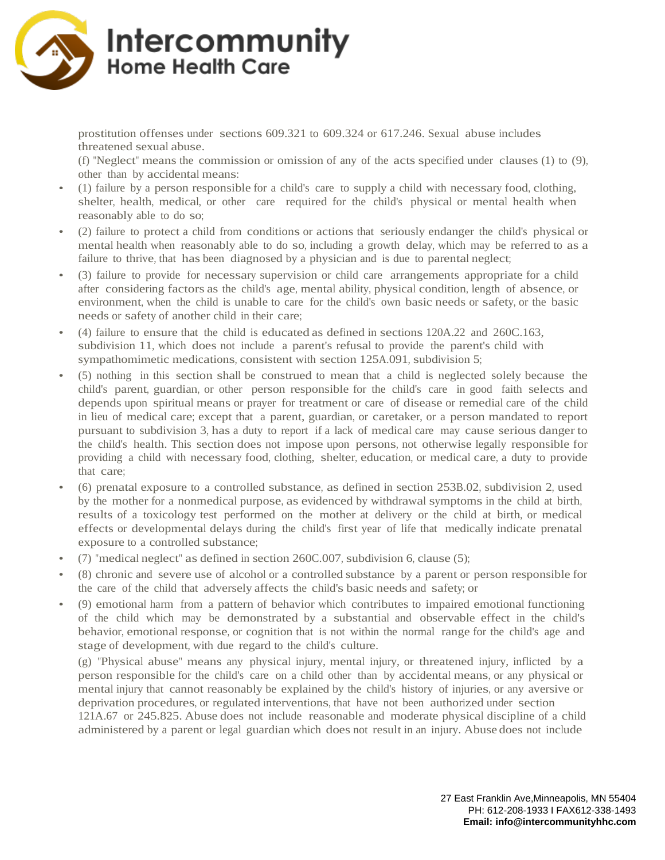

prostitution offenses under sections 609.321 to 609.324 or 617.246. Sexual abuse includes threatened sexual abuse.

(f) "Neglect" means the commission or omission of any of the acts specified under clauses (1) to (9), other than by accidental means:

- (1) failure by a person responsible for a child's care to supply a child with necessary food, clothing, shelter, health, medical, or other care required for the child's physical or mental health when reasonably able to do so;
- (2) failure to protect a child from conditions or actions that seriously endanger the child's physical or mental health when reasonably able to do so, including a growth delay, which may be referred to as a failure to thrive, that has been diagnosed by a physician and is due to parental neglect;
- (3) failure to provide for necessary supervision or child care arrangements appropriate for a child after considering factors as the child's age, mental ability, physical condition, length of absence, or environment, when the child is unable to care for the child's own basic needs or safety, or the basic needs or safety of another child in their care;
- (4) failure to ensure that the child is educated as defined in sections 120A.22 and 260C.163, subdivision 11, which does not include a parent's refusal to provide the parent's child with sympathomimetic medications, consistent with section 125A.091, subdivision 5;
- (5) nothing in this section shall be construed to mean that a child is neglected solely because the child's parent, guardian, or other person responsible for the child's care in good faith selects and depends upon spiritual means or prayer for treatment or care of disease or remedial care of the child in lieu of medical care; except that a parent, guardian, or caretaker, or a person mandated to report pursuant to subdivision 3, has a duty to report if a lack of medical care may cause serious danger to the child's health. This section does not impose upon persons, not otherwise legally responsible for providing a child with necessary food, clothing, shelter, education, or medical care, a duty to provide that care;
- (6) prenatal exposure to a controlled substance, as defined in section 253B.02, subdivision 2, used by the mother for a nonmedical purpose, as evidenced by withdrawal symptoms in the child at birth, results of a toxicology test performed on the mother at delivery or the child at birth, or medical effects or developmental delays during the child's first year of life that medically indicate prenatal exposure to a controlled substance;
- (7) "medical neglect" as defined in section 260C.007, subdivision 6, clause (5);
- (8) chronic and severe use of alcohol or a controlled substance by a parent or person responsible for the care of the child that adversely affects the child's basic needs and safety; or
- (9) emotional harm from a pattern of behavior which contributes to impaired emotional functioning of the child which may be demonstrated by a substantial and observable effect in the child's behavior, emotional response, or cognition that is not within the normal range for the child's age and stage of development, with due regard to the child's culture.

(g) "Physical abuse" means any physical injury, mental injury, or threatened injury, inflicted by a person responsible for the child's care on a child other than by accidental means, or any physical or mental injury that cannot reasonably be explained by the child's history of injuries, or any aversive or deprivation procedures, or regulated interventions, that have not been authorized under section 121A.67 or 245.825. Abuse does not include reasonable and moderate physical discipline of a child

administered by a parent or legal guardian which does not result in an injury. Abuse does not include